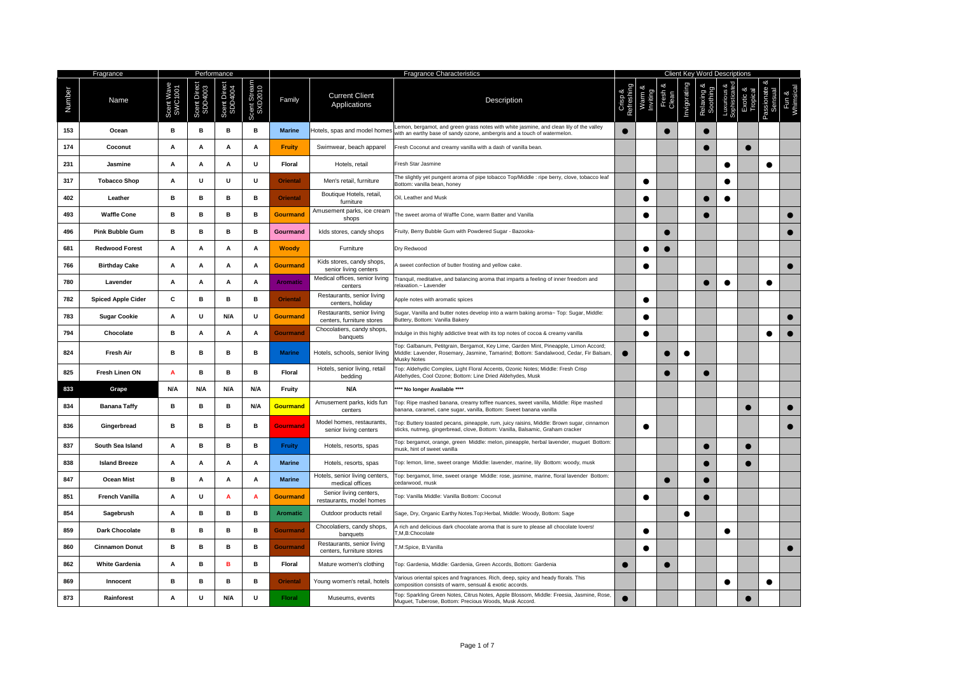|        | Fragrance                 |     |             | Performance    |                        |                 | <b>Fragrance Characteristics</b>                        |                                                                                                                                                                                                     |           |           |           |   |           |           | <b>Client Key Word Descriptions</b> |           |  |  |  |  |  |  |  |  |
|--------|---------------------------|-----|-------------|----------------|------------------------|-----------------|---------------------------------------------------------|-----------------------------------------------------------------------------------------------------------------------------------------------------------------------------------------------------|-----------|-----------|-----------|---|-----------|-----------|-------------------------------------|-----------|--|--|--|--|--|--|--|--|
| Number | Name                      |     | Scent Direo | ă<br>Scent I   | cent Strear<br>SXD2010 | Family          | <b>Current Client</b><br>Applications                   | Description                                                                                                                                                                                         |           |           | Clean     |   |           |           |                                     |           |  |  |  |  |  |  |  |  |
| 153    | Ocean                     | в   | в           | в              | в                      | <b>Marine</b>   | Hotels, spas and model homes                            | Lemon, bergamot, and green grass notes with white jasmine, and clean lily of the valley<br>with an earthy base of sandy ozone, ambergris and a touch of watermelon.                                 | $\bullet$ |           | $\bullet$ |   |           |           |                                     |           |  |  |  |  |  |  |  |  |
| 174    | Coconut                   | A   | A           | A              | A                      | Fruity          | Swimwear, beach apparel                                 | Fresh Coconut and creamy vanilla with a dash of vanilla bean.                                                                                                                                       |           |           |           |   |           |           |                                     |           |  |  |  |  |  |  |  |  |
| 231    | Jasmine                   | Α   | Α           | Α              | U                      | Floral          | Hotels, retail                                          | Fresh Star Jasmine                                                                                                                                                                                  |           |           |           |   |           |           |                                     |           |  |  |  |  |  |  |  |  |
| 317    | <b>Tobacco Shop</b>       | А   | U           | U              | U                      | <b>Oriental</b> | Men's retail, furniture                                 | The slightly yet pungent aroma of pipe tobacco Top/Middle : ripe berry, clove, tobacco leaf<br>Bottom: vanilla bean, honey                                                                          |           | $\bullet$ |           |   |           | $\bullet$ |                                     |           |  |  |  |  |  |  |  |  |
| 402    | Leather                   | в   | в           | в              | в                      | <b>Oriental</b> | Boutique Hotels, retail,<br>furniture                   | Oil, Leather and Musk                                                                                                                                                                               |           | $\bullet$ |           |   | C         | $\bullet$ |                                     |           |  |  |  |  |  |  |  |  |
| 493    | <b>Waffle Cone</b>        | в   | в           | в              | в                      | Gourmand        | Amusement parks, ice cream<br>shops                     | The sweet aroma of Waffle Cone, warm Batter and Vanilla                                                                                                                                             |           |           |           |   |           |           |                                     |           |  |  |  |  |  |  |  |  |
| 496    | <b>Pink Bubble Gum</b>    | в   | в           | в              | в                      | Gourmand        | klds stores, candy shops                                | Fruity, Berry Bubble Gum with Powdered Sugar - Bazooka-                                                                                                                                             |           |           | $\bullet$ |   |           |           |                                     |           |  |  |  |  |  |  |  |  |
| 681    | <b>Redwood Forest</b>     | A   | Α           | Α              | А                      | <b>Woody</b>    | Furniture                                               | Dry Redwood                                                                                                                                                                                         |           | $\bullet$ |           |   |           |           |                                     |           |  |  |  |  |  |  |  |  |
| 766    | <b>Birthday Cake</b>      | A   | A           | A              | A                      | <b>Gourmand</b> | Kids stores, candy shops,<br>senior living centers      | I sweet confection of butter frosting and yellow cake.                                                                                                                                              |           |           |           |   |           |           |                                     |           |  |  |  |  |  |  |  |  |
| 780    | Lavender                  | A   | Α           | $\mathbf{A}$   | Α                      | <b>Aromatic</b> | Medical offices, senior living<br>centers               | Tranquil, meditative, and balancing aroma that imparts a feeling of inner freedom and<br>elaxation.~ Lavender                                                                                       |           |           |           |   |           | $\bullet$ |                                     | $\bullet$ |  |  |  |  |  |  |  |  |
| 782    | <b>Spiced Apple Cider</b> | С   | в           | в              | в                      | <b>Oriental</b> | Restaurants, senior living<br>centers, holiday          | Apple notes with aromatic spices                                                                                                                                                                    |           | $\bullet$ |           |   |           |           |                                     |           |  |  |  |  |  |  |  |  |
| 783    | <b>Sugar Cookie</b>       | A   | U           | N/A            | U                      | Gourmand        | Restaurants, senior living<br>centers, furniture stores | Sugar, Vanilla and butter notes develop into a warm baking aroma~ Top: Sugar, Middle:<br>Buttery, Bottom: Vanilla Bakery                                                                            |           | $\bullet$ |           |   |           |           |                                     |           |  |  |  |  |  |  |  |  |
| 794    | Chocolate                 | в   | Α           | A              | Α                      | Gourmand        | Chocolatiers, candy shops,<br>banquets                  | ndulge in this highly addictive treat with its top notes of cocoa & creamy vanilla                                                                                                                  |           | $\bullet$ |           |   |           |           |                                     |           |  |  |  |  |  |  |  |  |
| 824    | <b>Fresh Air</b>          | в   | в           | в              | в                      | <b>Marine</b>   | Hotels, schools, senior living                          | Top: Galbanum, Petitgrain, Bergamot, Key Lime, Garden Mint, Pineapple, Limon Accord;<br>Middle: Lavender, Rosemary, Jasmine, Tamarind; Bottom: Sandalwood, Cedar, Fir Balsam,<br><b>Musky Notes</b> |           |           |           |   |           |           |                                     |           |  |  |  |  |  |  |  |  |
| 825    | Fresh Linen ON            | A   | в           | в              | в                      | Floral          | Hotels, senior living, retail<br>bedding                | Top: Aldehydic Complex, Light Floral Accents, Ozonic Notes; Middle: Fresh Crisp<br>Aldehydes, Cool Ozone; Bottom: Line Dried Aldehydes, Musk                                                        |           |           |           |   | C         |           |                                     |           |  |  |  |  |  |  |  |  |
| 833    | Grape                     | N/A | N/A         | N/A            | N/A                    | Fruity          | N/A                                                     | ** No longer Available ****                                                                                                                                                                         |           |           |           |   |           |           |                                     |           |  |  |  |  |  |  |  |  |
| 834    | <b>Banana Taffy</b>       | в   | в           | в              | N/A                    | Gourmand        | Amusement parks, kids fun<br>centers                    | Top: Ripe mashed banana, creamy toffee nuances, sweet vanilla, Middle: Ripe mashed<br>panana, caramel, cane sugar, vanilla, Bottom: Sweet banana vanilla                                            |           |           |           |   |           |           | ●                                   |           |  |  |  |  |  |  |  |  |
| 836    | Gingerbread               | в   | в           | в              | в                      | <b>Gourmand</b> | Model homes, restaurants,<br>senior living centers      | Top: Buttery toasted pecans, pineapple, rum, juicy raisins, Middle: Brown sugar, cinnamon<br>sticks, nutmeg, gingerbread, clove, Bottom: Vanilla, Balsamic, Graham cracker                          |           | $\bullet$ |           |   |           |           |                                     |           |  |  |  |  |  |  |  |  |
| 837    | South Sea Island          | A   | B           | в              | B                      | <b>Fruity</b>   | Hotels, resorts, spas                                   | Top: bergamot, orange, green Middle: melon, pineapple, herbal lavender, muguet Bottom:<br>musk, hint of sweet vanilla                                                                               |           |           |           |   |           |           | $\bullet$                           |           |  |  |  |  |  |  |  |  |
| 838    | <b>Island Breeze</b>      | А   | Α           | Α              | Α                      | <b>Marine</b>   | Hotels, resorts, spas                                   | Top: lemon, lime, sweet orange Middle: lavender, marine, lily Bottom: woody, musk                                                                                                                   |           |           |           |   | c         |           | ●                                   |           |  |  |  |  |  |  |  |  |
| 847    | <b>Ocean Mist</b>         | в   | Α           | A              | Α                      | <b>Marine</b>   | Hotels, senior living centers<br>medical offices        | Top: bergamot, lime, sweet orange Middle: rose, jasmine, marine, floral lavender Bottom:<br>cedarwood, musk                                                                                         |           |           | $\bullet$ |   | $\bullet$ |           |                                     |           |  |  |  |  |  |  |  |  |
| 851    | <b>French Vanilla</b>     | A   | U           | $\overline{A}$ | A                      | <b>Gourmand</b> | Senior living centers,<br>restaurants, model homes      | Top: Vanilla Middle: Vanilla Bottom: Coconut                                                                                                                                                        |           | $\bullet$ |           |   | C         |           |                                     |           |  |  |  |  |  |  |  |  |
| 854    | Sagebrush                 | Α   | в           | в              | в                      | <b>Aromatic</b> | Outdoor products retail                                 | Sage, Dry, Organic Earthy Notes.Top:Herbal, Middle: Woody, Bottom: Sage                                                                                                                             |           |           |           | c |           |           |                                     |           |  |  |  |  |  |  |  |  |
| 859    | <b>Dark Chocolate</b>     | в   | в           | в              | в                      | <b>Gourmand</b> | Chocolatiers, candy shops,<br>banquets                  | rich and delicious dark chocolate aroma that is sure to please all chocolate lovers!<br>M,B:Chocolate                                                                                               |           | $\bullet$ |           |   |           | $\bullet$ |                                     |           |  |  |  |  |  |  |  |  |
| 860    | <b>Cinnamon Donut</b>     | в   | в           | в              | в                      | <b>Gourmand</b> | Restaurants, senior living<br>centers, furniture stores | ,M:Spice, B:Vanilla                                                                                                                                                                                 |           | $\bullet$ |           |   |           |           |                                     |           |  |  |  |  |  |  |  |  |
| 862    | <b>White Gardenia</b>     | A   | в           | B              | в                      | <b>Floral</b>   | Mature women's clothing                                 | Top: Gardenia, Middle: Gardenia, Green Accords, Bottom: Gardenia                                                                                                                                    |           |           |           |   |           |           |                                     |           |  |  |  |  |  |  |  |  |
| 869    | Innocent                  | в   | в           | в              | в                      | <b>Oriental</b> | Young women's retail, hotels                            | Various oriental spices and fragrances. Rich, deep, spicy and heady florals. This<br>composition consists of warm, sensual & exotic accords.                                                        |           |           |           |   |           | $\bullet$ |                                     | $\bullet$ |  |  |  |  |  |  |  |  |
| 873    | Rainforest                | Α   | U           | N/A            | U                      | <b>Floral</b>   | Museums, events                                         | Top: Sparkling Green Notes, Citrus Notes, Apple Blossom, Middle: Freesia, Jasmine, Rose,<br>Muguet, Tuberose, Bottom: Precious Woods, Musk Accord                                                   | ●         |           |           |   |           |           |                                     |           |  |  |  |  |  |  |  |  |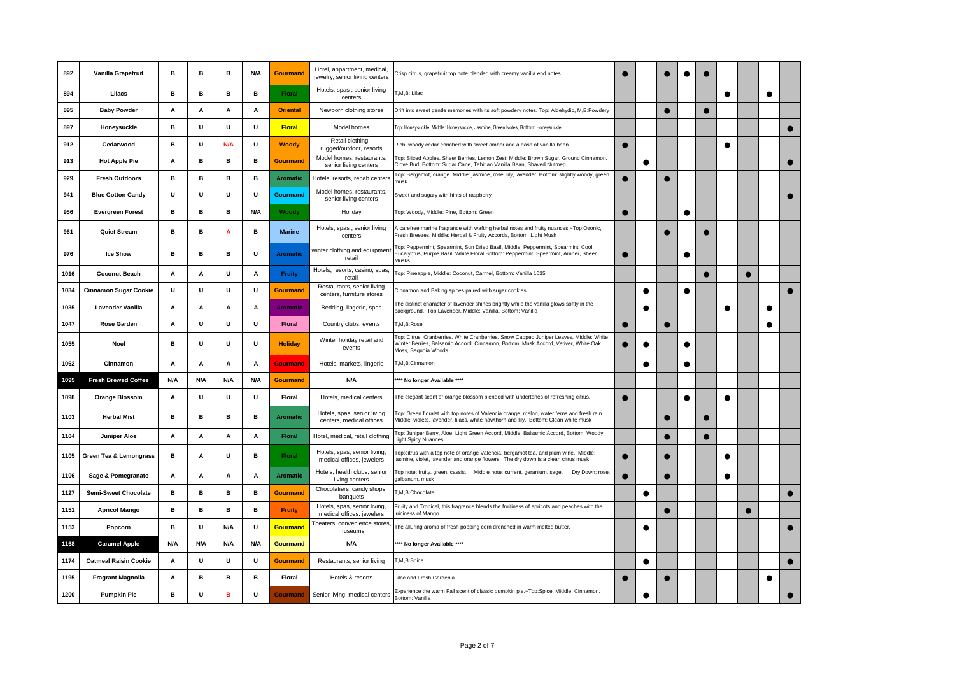| 892  | Vanilla Grapefruit           | в   | в   | в   | N/A | <b>Gourmand</b> | Hotel, appartment, medical<br>jewelry, senior living centers | Crisp citrus, grapefruit top note blended with creamy vanilla end notes                                                                                                                              |           |           |           |           |           |           |   |           |           |
|------|------------------------------|-----|-----|-----|-----|-----------------|--------------------------------------------------------------|------------------------------------------------------------------------------------------------------------------------------------------------------------------------------------------------------|-----------|-----------|-----------|-----------|-----------|-----------|---|-----------|-----------|
| 894  | Lilacs                       | в   | в   | в   | в   | <b>Floral</b>   | Hotels, spas, senior living<br>centers                       | T,M,B: Lilac                                                                                                                                                                                         |           |           |           |           |           | $\bullet$ |   | $\bullet$ |           |
| 895  | <b>Baby Powder</b>           | Α   | Α   | А   | Α   | <b>Oriental</b> | Newborn clothing stores                                      | Drift into sweet gentle memories with its soft powdery notes. Top: Aldehydic, M,B:Powdery                                                                                                            |           |           |           |           | $\bullet$ |           |   |           |           |
| 897  | Honeysuckle                  | в   | U   | U   | U   | <b>Floral</b>   | Model homes                                                  | Top: Honeysuckle, Middle: Honeysuckle, Jasmine, Green Notes, Bottom: Honeysuckle                                                                                                                     |           |           |           |           |           |           |   |           |           |
| 912  | Cedarwood                    | в   | U   | N/A | U   | <b>Woody</b>    | Retail clothing -<br>rugged/outdoor, resorts                 | Rich, woody cedar enriched with sweet amber and a dash of vanilla bean.                                                                                                                              | ●         |           |           |           |           |           |   |           |           |
| 913  | <b>Hot Apple Pie</b>         | А   | в   | в   | в   | <b>Gourmand</b> | Model homes, restaurants,<br>senior living centers           | Top: Sliced Apples, Sheer Berries, Lemon Zest; Middle: Brown Sugar, Ground Cinnamon,<br>Clove Bud; Bottom: Sugar Cane, Tahitian Vanilla Bean, Shaved Nutmeg                                          |           | $\bullet$ |           |           |           |           |   |           |           |
| 929  | <b>Fresh Outdoors</b>        | в   | в   | в   | в   | <b>Aromatic</b> | Hotels, resorts, rehab centers                               | Top: Bergamot, orange Middle: jasmine, rose, lily, lavender Bottom: slightly woody, green<br>musk                                                                                                    |           |           |           |           |           |           |   |           |           |
| 941  | <b>Blue Cotton Candy</b>     | U   | U   | U   | U   | Gourmand        | Model homes, restaurants,<br>senior living centers           | Sweet and sugary with hints of raspberry                                                                                                                                                             |           |           |           |           |           |           |   |           |           |
| 956  | <b>Evergreen Forest</b>      | в   | в   | в   | N/A | Woody           | Holiday                                                      | Top: Woody, Middle: Pine, Bottom: Green                                                                                                                                                              |           |           |           | $\bullet$ |           |           |   |           |           |
| 961  | <b>Quiet Stream</b>          | в   | в   | A   | в   | <b>Marine</b>   | Hotels, spas, senior living<br>centers                       | A carefree marine fragrance with wafting herbal notes and fruity nuances.~Top:Ozonic,<br>resh Breezes, Middle: Herbal & Fruity Accords, Bottom: Light Musk                                           |           |           |           |           | О         |           |   |           |           |
| 976  | <b>Ice Show</b>              | в   | в   | в   | U   | <b>Aromatic</b> | winter clothing and equipmen<br>retail                       | Top: Peppermint, Spearmint, Sun Dried Basil, Middle: Peppermint, Spearmint, Cool<br>Eucalyptus, Purple Basil, White Floral Bottom: Peppermint, Spearmint, Amber, Sheer<br><b>Musks</b>               | $\bullet$ |           |           |           |           |           |   |           |           |
| 1016 | <b>Coconut Beach</b>         | А   | Α   | U   | Α   | <b>Fruity</b>   | Hotels, resorts, casino, spas,<br>retail                     | Top: Pineapple, Middle: Coconut, Carmel, Bottom: Vanilla 1035                                                                                                                                        |           |           |           |           | $\bullet$ |           |   |           |           |
| 1034 | <b>Cinnamon Sugar Cookie</b> | U   | U   | U   | U   | <b>Gourmand</b> | Restaurants, senior living<br>centers, furniture stores      | Cinnamon and Baking spices paired with sugar cookies                                                                                                                                                 |           | €         |           |           |           |           |   |           | $\bullet$ |
| 1035 | <b>Lavender Vanilla</b>      | Α   | Α   | A   | Α   | <b>Aromatic</b> | Bedding, lingerie, spas                                      | The distinct character of lavender shines brightly while the vanilla glows softly in the<br>background.~Top:Lavender, Middle: Vanilla, Bottom: Vanilla                                               |           | $\bullet$ |           |           |           | $\bullet$ |   | $\bullet$ |           |
| 1047 | <b>Rose Garden</b>           | Α   | U   | U   | U   | <b>Floral</b>   | Country clubs, events                                        | T,M,B:Rose                                                                                                                                                                                           |           |           |           |           |           |           |   |           |           |
| 1055 | Noel                         | в   | U   | U   | U   | <b>Holiday</b>  | Winter holiday retail and<br>events                          | Top: Citrus, Cranberries, White Cranberries, Snow Capped Juniper Leaves, Middle: White<br>Winter Berries, Balsamic Accord, Cinnamon, Bottom: Musk Accord, Vetiver, White Oak<br>Moss, Sequoia Woods. |           | c         |           |           |           |           |   |           |           |
| 1062 | Cinnamon                     | Α   | Α   | Α   | Α   | <b>Gourmand</b> | Hotels, markets, lingerie                                    | M,B:Cinnamon                                                                                                                                                                                         |           |           |           |           |           |           |   |           |           |
| 1095 | <b>Fresh Brewed Coffee</b>   | N/A | N/A | N/A | N/A | <b>Gourmand</b> | N/A                                                          | *** No longer Available ****                                                                                                                                                                         |           |           |           |           |           |           |   |           |           |
| 1098 | <b>Orange Blossom</b>        | А   | U   | U   | U   | Floral          | Hotels, medical centers                                      | The elegant scent of orange blossom blended with undertones of refreshing citrus.                                                                                                                    | ●         |           |           | $\bullet$ |           | ●         |   |           |           |
| 1103 | <b>Herbal Mist</b>           | в   | в   | в   | в   | Aromatic        | Hotels, spas, senior living<br>centers, medical offices      | Top: Green floralst with top notes of Valencia orange, melon, water ferns and fresh rain.<br>Middle: violets, lavender, lilacs, white hawthorn and lily. Bottom: Clean white musk                    |           |           |           |           | $\bullet$ |           |   |           |           |
| 1104 | <b>Juniper Aloe</b>          | А   | Α   | Α   | Α   | <b>Floral</b>   | Hotel, medical, retail clothing                              | Top: Juniper Berry, Aloe, Light Green Accord, Middle: Balsamic Accord, Bottom: Woody,<br>ight Spicy Nuances                                                                                          |           |           | $\bullet$ |           | $\bullet$ |           |   |           |           |
| 1105 | Green Tea & Lemongrass       | в   | Α   | U   | в   | Floral          | Hotels, spas, senior living,<br>medical offices, jewelers    | Top:citrus with a top note of orange Valencia, bergamot tea, and plum wine. Middle:<br>jasmine, violet, lavender and orange flowers. The dry down is a clean citrus musk                             |           |           |           |           |           |           |   |           |           |
| 1106 | Sage & Pomegranate           | Α   | Α   | Α   | Α   | <b>Aromatic</b> | Hotels, health clubs, senior<br>living centers               | Top note: fruity, green, cassis.  Middle note: current, geranium, sage.<br>Dry Down: rose,<br>galbanum, musk                                                                                         |           |           |           |           |           | $\bullet$ |   |           |           |
| 1127 | Semi-Sweet Chocolate         | в   | в   | в   | в   | <b>Gourmand</b> | Chocolatiers, candy shops,<br>banquets                       | M.B:Chocolate                                                                                                                                                                                        |           | c         |           |           |           |           |   |           |           |
| 1151 | <b>Apricot Mango</b>         | в   | в   | в   | в   | <b>Fruity</b>   | Hotels, spas, senior living,<br>medical offices, jewelers    | Fruity and Tropical, this fragrance blends the fruitiness of apricots and peaches with the<br>uiciness of Mango                                                                                      |           |           | $\bullet$ |           |           |           | ● |           |           |
| 1153 | Popcorn                      | в   | U   | N/A | U   | <b>Gourmand</b> | Theaters, convenience stores,<br>museums                     | The alluring aroma of fresh popping corn drenched in warm melted butter.                                                                                                                             |           | c         |           |           |           |           |   |           |           |
| 1168 | <b>Caramel Apple</b>         | N/A | N/A | N/A | N/A | Gourmand        | N/A                                                          | *** No longer Available ****                                                                                                                                                                         |           |           |           |           |           |           |   |           |           |
| 1174 | <b>Oatmeal Raisin Cookie</b> | А   | U   | U   | U   | Gourmand        | Restaurants, senior living                                   | T,M,B:Spice                                                                                                                                                                                          |           | C         |           |           |           |           |   |           |           |
| 1195 | <b>Fragrant Magnolia</b>     | Α   | в   | в   | в   | Floral          | Hotels & resorts                                             | Lilac and Fresh Gardenia                                                                                                                                                                             |           |           | $\bullet$ |           |           |           |   |           |           |
| 1200 | <b>Pumpkin Pie</b>           | в   | U   | в   | U   | <b>Gourmand</b> | Senior living, medical centers                               | Experience the warm Fall scent of classic pumpkin pie.~Top:Spice, Middle: Cinnamon,<br>Bottom: Vanilla                                                                                               |           | €         |           |           |           |           |   |           |           |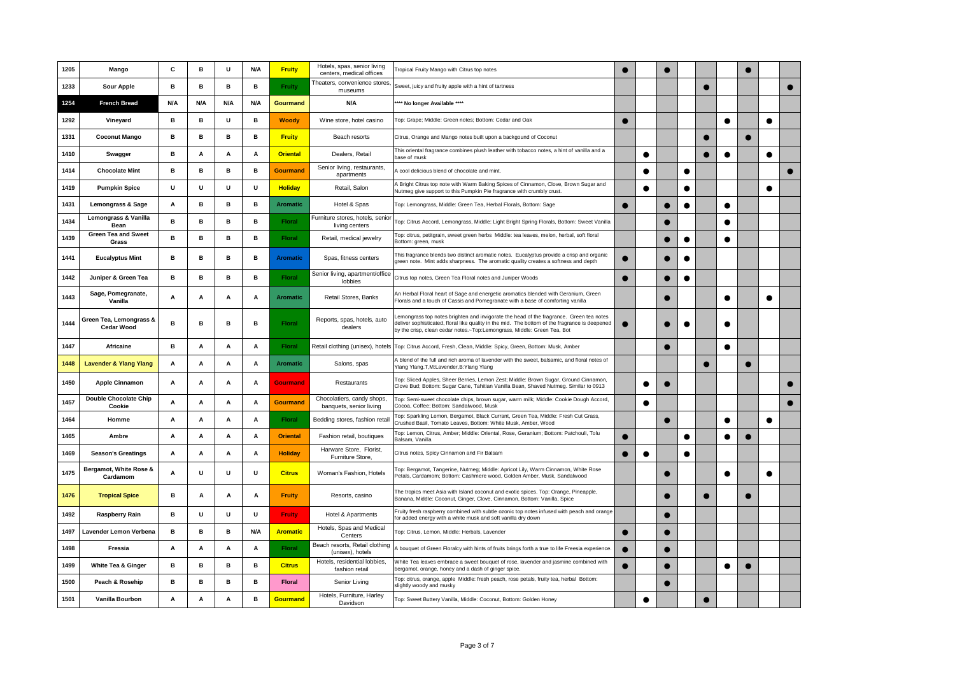| 1205 | Mango                                        | C   | в   | U   | N/A | <b>Fruity</b>   | Hotels, spas, senior living<br>centers, medical offices | Tropical Fruity Mango with Citrus top notes                                                                                                                                                                                                                         |   |           |           |           |            |           |   |  |
|------|----------------------------------------------|-----|-----|-----|-----|-----------------|---------------------------------------------------------|---------------------------------------------------------------------------------------------------------------------------------------------------------------------------------------------------------------------------------------------------------------------|---|-----------|-----------|-----------|------------|-----------|---|--|
| 1233 | <b>Sour Apple</b>                            | в   | в   | в   | в   | <b>Fruity</b>   | Theaters, convenience stores,<br>museums                | Sweet, juicy and fruity apple with a hint of tartness                                                                                                                                                                                                               |   |           |           |           |            |           |   |  |
| 1254 | <b>French Bread</b>                          | N/A | N/A | N/A | N/A | Gourmand        | N/A                                                     | *** No longer Available ****                                                                                                                                                                                                                                        |   |           |           |           |            |           |   |  |
| 1292 | Vineyard                                     | в   | в   | U   | в   | <b>Woody</b>    | Wine store, hotel casino                                | Top: Grape; Middle: Green notes; Bottom: Cedar and Oak                                                                                                                                                                                                              |   |           |           |           |            | $\bullet$ |   |  |
| 1331 | <b>Coconut Mango</b>                         | в   | B   | в   | в   | <b>Fruity</b>   | Beach resorts                                           | Citrus, Orange and Mango notes built upon a backgound of Coconut                                                                                                                                                                                                    |   |           |           |           | $\epsilon$ |           | ● |  |
| 1410 | Swagger                                      | в   | A   | Α   | Α   | <b>Oriental</b> | Dealers, Retail                                         | This oriental fragrance combines plush leather with tobacco notes, a hint of vanilla and a<br>base of musk                                                                                                                                                          |   | $\bullet$ |           |           |            | $\bullet$ |   |  |
| 1414 | <b>Chocolate Mint</b>                        | в   | в   | в   | в   | <b>Gourmand</b> | Senior living, restaurants,<br>apartments               | A cool delicious blend of chocolate and mint.                                                                                                                                                                                                                       |   |           |           | $\bullet$ |            |           |   |  |
| 1419 | <b>Pumpkin Spice</b>                         | U   | U   | U   | U   | <b>Holiday</b>  | Retail, Salon                                           | A Bright Citrus top note with Warm Baking Spices of Cinnamon, Clove, Brown Sugar and<br>Nutmeg give support to this Pumpkin Pie fragrance with crumbly crust.                                                                                                       |   | $\bullet$ |           |           |            |           |   |  |
| 1431 | <b>Lemongrass &amp; Sage</b>                 | Α   | в   | в   | в   | Aromatic        | Hotel & Spas                                            | Top: Lemongrass, Middle: Green Tea, Herbal Florals, Bottom: Sage                                                                                                                                                                                                    |   |           |           | $\bullet$ |            | $\bullet$ |   |  |
| 1434 | Lemongrass & Vanilla<br>Bean                 | в   | в   | в   | в   | <b>Floral</b>   | Furniture stores, hotels, senior<br>living centers      | Top: Citrus Accord, Lemongrass, Middle: Light Bright Spring Florals, Bottom: Sweet Vanilla                                                                                                                                                                          |   |           |           |           |            | $\bullet$ |   |  |
| 1439 | <b>Green Tea and Sweet</b><br>Grass          | в   | в   | в   | в   | <b>Floral</b>   | Retail, medical jewelry                                 | Top: citrus, petitgrain, sweet green herbs Middle: tea leaves, melon, herbal, soft floral<br>Bottom: green, musk                                                                                                                                                    |   |           |           | $\bullet$ |            | $\bullet$ |   |  |
| 1441 | <b>Eucalyptus Mint</b>                       | в   | в   | в   | в   | <b>Aromatic</b> | Spas, fitness centers                                   | This fragrance blends two distinct aromatic notes. Eucalyptus provide a crisp and organic<br>green note. Mint adds sharpness. The aromatic quality creates a softness and depth                                                                                     |   |           |           | $\bullet$ |            |           |   |  |
| 1442 | Juniper & Green Tea                          | в   | в   | в   | в   | <b>Floral</b>   | Senior living, apartment/office<br>lobbies              | Citrus top notes, Green Tea Floral notes and Juniper Woods                                                                                                                                                                                                          | c |           |           | $\bullet$ |            |           |   |  |
| 1443 | Sage, Pomegranate,<br>Vanilla                | Α   | A   | Α   | Α   | Aromatic        | Retail Stores, Banks                                    | An Herbal Floral heart of Sage and energetic aromatics blended with Geranium, Green<br>Florals and a touch of Cassis and Pomegranate with a base of comforting vanilla                                                                                              |   |           |           |           |            |           |   |  |
| 1444 | Green Tea, Lemongrass &<br><b>Cedar Wood</b> | в   | в   | в   | в   | <b>Floral</b>   | Reports, spas, hotels, auto<br>dealers                  | emongrass top notes brighten and invigorate the head of the fragrance. Green tea notes<br>deliver sophisticated, floral like quality in the mid. The bottom of the fragrance is deepened<br>by the crisp, clean cedar notes.~Top:Lemongrass, Middle: Green Tea, Bot |   |           |           | $\bullet$ |            | О         |   |  |
| 1447 | <b>Africaine</b>                             | в   | Α   | A   | Α   | <b>Floral</b>   |                                                         | Retail clothing (unisex), hotels Top: Citrus Accord, Fresh, Clean, Middle: Spicy, Green, Bottom: Musk, Amber                                                                                                                                                        |   |           |           |           |            | $\bullet$ |   |  |
| 1448 | <b>Lavender &amp; Ylang Ylang</b>            | Α   | A   | Α   | A   | Aromatic        | Salons, spas                                            | A blend of the full and rich aroma of lavender with the sweet, balsamic, and floral notes of<br>Ylang Ylang.T,M:Lavender,B:Ylang Ylang                                                                                                                              |   |           |           |           |            |           |   |  |
| 1450 | <b>Apple Cinnamon</b>                        | Α   | A   | Α   | Α   | <b>Gourmand</b> | Restaurants                                             | Top: Sliced Apples, Sheer Berries, Lemon Zest; Middle: Brown Sugar, Ground Cinnamon,<br>Clove Bud; Bottom: Sugar Cane, Tahitian Vanilla Bean, Shaved Nutmeg. Similar to 0913                                                                                        |   | $\bullet$ |           |           |            |           |   |  |
| 1457 | <b>Double Chocolate Chip</b><br>Cookie       | А   | А   | Α   | Α   | <b>Gourmand</b> | Chocolatiers, candy shops,<br>banquets, senior living   | Top: Semi-sweet chocolate chips, brown sugar, warm milk; Middle: Cookie Dough Accord,<br>Cocoa, Coffee; Bottom: Sandalwood, Musk                                                                                                                                    |   | $\bullet$ |           |           |            |           |   |  |
| 1464 | Homme                                        | А   | A   | A   | Α   | <b>Floral</b>   | Bedding stores, fashion retai                           | Top: Sparkling Lemon, Bergamot, Black Currant, Green Tea, Middle: Fresh Cut Grass,<br>Crushed Basil. Tomato Leaves. Bottom: White Musk. Amber. Wood                                                                                                                 |   |           | $\bullet$ |           |            | $\bullet$ |   |  |
| 1465 | Ambre                                        | А   | A   | A   | Α   | <b>Oriental</b> | Fashion retail, boutiques                               | Top: Lemon, Citrus, Amber; Middle: Oriental, Rose, Geranium; Bottom: Patchouli, Tolu<br>Balsam, Vanilla                                                                                                                                                             | ● |           |           | ●         |            | $\bullet$ |   |  |
| 1469 | <b>Season's Greatings</b>                    | Α   | Α   | Α   | Α   | <b>Holiday</b>  | Harware Store, Florist,<br>Furniture Store.             | Citrus notes, Spicy Cinnamon and Fir Balsam                                                                                                                                                                                                                         |   | $\bullet$ |           | $\bullet$ |            |           |   |  |
| 1475 | Bergamot, White Rose &<br>Cardamom           | А   | U   | U   | U   | <b>Citrus</b>   | Woman's Fashion, Hotels                                 | Top: Bergamot, Tangerine, Nutmeg; Middle: Apricot Lily, Warm Cinnamon, White Rose<br>Petals, Cardamom; Bottom: Cashmere wood, Golden Amber, Musk, Sandalwood                                                                                                        |   |           |           |           |            |           |   |  |
| 1476 | <b>Tropical Spice</b>                        | в   | A   | A   | A   | <b>Fruity</b>   | Resorts, casino                                         | The tropics meet Asia with Island coconut and exotic spices. Top: Orange, Pineapple,<br>Banana, Middle: Coconut, Ginger, Clove, Cinnamon, Bottom: Vanilla, Spice                                                                                                    |   |           |           |           | $\epsilon$ |           |   |  |
| 1492 | <b>Raspberry Rain</b>                        | в   | U   | U   | U   | <b>Fruity</b>   | Hotel & Apartments                                      | Fruity fresh raspberry combined with subtle ozonic top notes infused with peach and orange<br>or added energy with a white musk and soft vanilla dry down                                                                                                           |   |           |           |           |            |           |   |  |
| 1497 | Lavender Lemon Verbena                       | в   | в   | в   | N/A | <b>Aromatic</b> | Hotels, Spas and Medical<br>Centers                     | Top: Citrus, Lemon, Middle: Herbals, Lavender                                                                                                                                                                                                                       |   |           | $\bullet$ |           |            |           |   |  |
| 1498 | Fressia                                      | А   | А   | Α   | A   | <b>Floral</b>   | Beach resorts, Retail clothing<br>(unisex), hotels      | A bouquet of Green Floralcy with hints of fruits brings forth a true to life Freesia experience.                                                                                                                                                                    |   |           |           |           |            |           |   |  |
| 1499 | <b>White Tea &amp; Ginger</b>                | в   | в   | в   | в   | <b>Citrus</b>   | Hotels, residential lobbies,<br>fashion retail          | White Tea leaves embrace a sweet bouquet of rose, lavender and jasmine combined with<br>bergamot, orange, honey and a dash of ginger spice.                                                                                                                         |   |           |           |           |            | ●         |   |  |
| 1500 | Peach & Rosehip                              | в   | в   | в   | в   | <b>Floral</b>   | Senior Living                                           | Top: citrus, orange, apple Middle: fresh peach, rose petals, fruity tea, herbal Bottom:<br>slightly woody and musky                                                                                                                                                 |   |           | e         |           |            |           |   |  |
| 1501 | Vanilla Bourbon                              | Α   | A   | A   | в   | Gourmand        | Hotels, Furniture, Harley<br>Davidson                   | Top: Sweet Buttery Vanilla, Middle: Coconut, Bottom: Golden Honey                                                                                                                                                                                                   |   | $\bullet$ |           |           | $\bullet$  |           |   |  |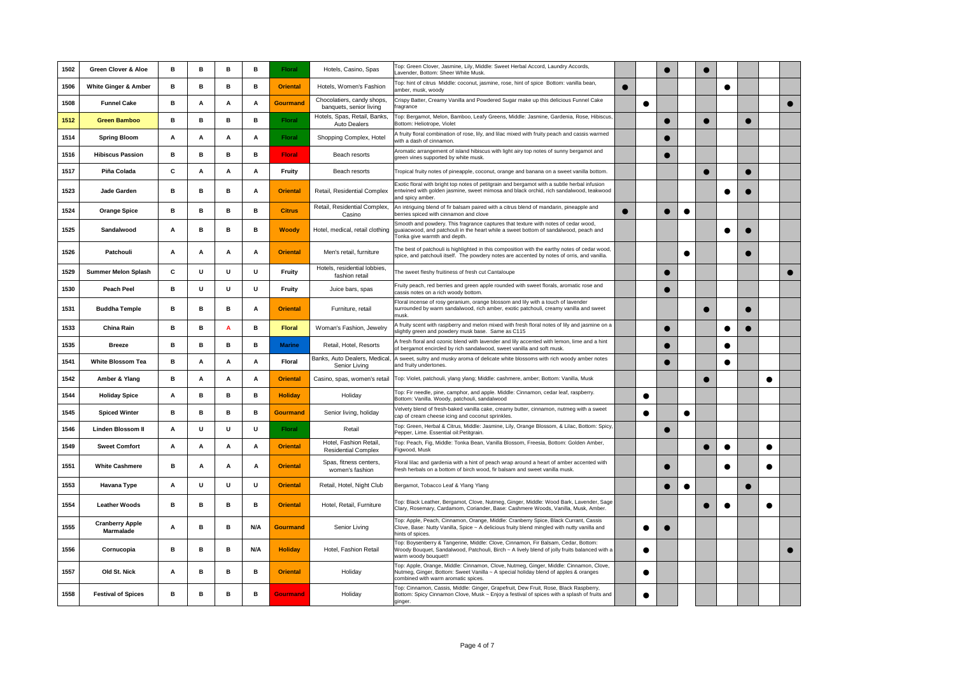| 1502 | Green Clover & Aloe                 | в | в | в | в   | <b>Floral</b>   | Hotels, Casino, Spas                                  | Top: Green Clover, Jasmine, Lily, Middle: Sweet Herbal Accord, Laundry Accords,<br>Lavender, Bottom: Sheer White Musk.                                                                                              |           |           |           |           |   |           |           |  |
|------|-------------------------------------|---|---|---|-----|-----------------|-------------------------------------------------------|---------------------------------------------------------------------------------------------------------------------------------------------------------------------------------------------------------------------|-----------|-----------|-----------|-----------|---|-----------|-----------|--|
| 1506 | White Ginger & Amber                | в | в | в | в   | <b>Oriental</b> | Hotels, Women's Fashion                               | Top: hint of citrus Middle: coconut, jasmine, rose, hint of spice Bottom: vanilla bean,<br>amber, musk, woodv                                                                                                       | $\bullet$ |           |           |           |   | $\bullet$ |           |  |
| 1508 | <b>Funnel Cake</b>                  | в | A | Α | Α   | Gourmand        | Chocolatiers, candy shops,<br>banquets, senior living | Crispy Batter, Creamy Vanilla and Powdered Sugar make up this delicious Funnel Cake<br>ragrance                                                                                                                     |           | $\bullet$ |           |           |   |           |           |  |
| 1512 | <b>Green Bamboo</b>                 | в | в | в | в   | Floral          | Hotels, Spas, Retail, Banks,<br>Auto Dealers          | Top: Bergamot, Melon, Bamboo, Leafy Greens, Middle: Jasmine, Gardenia, Rose, Hibiscus,<br>Bottom: Heliotrope, Violet                                                                                                |           |           |           |           |   |           |           |  |
| 1514 | <b>Spring Bloom</b>                 | Α | A | A | Α   | <b>Floral</b>   | Shopping Complex, Hotel                               | A fruity floral combination of rose, lily, and lilac mixed with fruity peach and cassis warmed<br>with a dash of cinnamon.                                                                                          |           |           |           |           |   |           |           |  |
| 1516 | <b>Hibiscus Passion</b>             | в | в | в | в   | <b>Floral</b>   | Beach resorts                                         | Aromatic arrangement of island hibiscus with light airy top notes of sunny bergamot and<br>green vines supported by white musk.                                                                                     |           |           |           |           |   |           |           |  |
| 1517 | Piña Colada                         | c | Α | Α | Α   | Fruity          | Beach resorts                                         | Tropical fruity notes of pineapple, coconut, orange and banana on a sweet vanilla bottom.                                                                                                                           |           |           |           |           | ● |           |           |  |
| 1523 | Jade Garden                         | в | в | в | A   | <b>Oriental</b> | Retail, Residential Complex                           | Exotic floral with bright top notes of petitgrain and bergamot with a subtle herbal infusion<br>entwined with golden jasmine, sweet mimosa and black orchid, rich sandalwood, teakwood<br>and spicy amber           |           |           |           |           |   |           |           |  |
| 1524 | <b>Orange Spice</b>                 | в | в | в | в   | <b>Citrus</b>   | Retail, Residential Complex,<br>Casino                | An intriguing blend of fir balsam paired with a citrus blend of mandarin, pineapple and<br>berries spiced with cinnamon and clove                                                                                   | e         |           | $\bullet$ | $\bullet$ |   |           |           |  |
| 1525 | Sandalwood                          | Α | в | в | в   | <b>Woody</b>    | Hotel, medical, retail clothing                       | Smooth and powdery. This fragrance captures that texture with notes of cedar wood,<br>guaiacwood, and patchouli in the heart while a sweet bottom of sandalwood, peach and<br>Tonka give warmth and depth.          |           |           |           |           |   |           |           |  |
| 1526 | Patchouli                           | A | A | A | A   | <b>Oriental</b> | Men's retail, furniture                               | The best of patchouli is highlighted in this composition with the earthy notes of cedar wood,<br>spice, and patchouli itself. The powdery notes are accented by notes of orris, and vanilla.                        |           |           |           | $\bullet$ |   |           |           |  |
| 1529 | <b>Summer Melon Splash</b>          | C | U | U | U   | Fruity          | Hotels, residential lobbies,<br>fashion retail        | The sweet fleshy fruitiness of fresh cut Cantaloupe                                                                                                                                                                 |           |           |           |           |   |           |           |  |
| 1530 | <b>Peach Peel</b>                   | в | U | U | U   | Fruity          | Juice bars, spas                                      | Fruity peach, red berries and green apple rounded with sweet florals, aromatic rose and<br>cassis notes on a rich woody bottom.                                                                                     |           |           |           |           |   |           |           |  |
| 1531 | <b>Buddha Temple</b>                | в | в | в | Α   | <b>Oriental</b> | Furniture, retail                                     | Floral incense of rosy geranium, orange blossom and lily with a touch of lavender<br>surrounded by warm sandalwood, rich amber, exotic patchouli, creamy vanilla and sweet<br>nusk                                  |           |           |           |           |   |           |           |  |
| 1533 | China Rain                          | в | в | A | в   | <b>Floral</b>   | Woman's Fashion, Jewelry                              | A fruity scent with raspberry and melon mixed with fresh floral notes of lily and jasmine on a<br>slightly green and powdery musk base. Same as C115                                                                |           |           |           |           |   | c         |           |  |
| 1535 | <b>Breeze</b>                       | в | в | в | в   | <b>Marine</b>   | Retail, Hotel, Resorts                                | A fresh floral and ozonic blend with lavender and lily accented with lemon, lime and a hint<br>of bergamot encircled by rich sandalwood, sweet vanilla and soft musk.                                               |           |           |           |           |   |           |           |  |
| 1541 | <b>White Blossom Tea</b>            | в | A | A | Α   | <b>Floral</b>   | Banks, Auto Dealers, Medical<br>Senior Living         | A sweet, sultry and musky aroma of delicate white blossoms with rich woody amber notes<br>and fruity undertones.                                                                                                    |           |           |           |           |   | ●         |           |  |
| 1542 | Amber & Ylang                       | в | Α | Α | Α   | <b>Oriental</b> | Casino, spas, women's retail                          | Top: Violet, patchouli, ylang ylang; Middle: cashmere, amber; Bottom: Vanilla, Musk                                                                                                                                 |           |           |           |           |   |           | $\bullet$ |  |
| 1544 | <b>Holiday Spice</b>                | Α | B | в | в   | <b>Holiday</b>  | Holiday                                               | Top: Fir needle, pine, camphor, and apple. Middle: Cinnamon, cedar leaf, raspberry.<br>Bottom: Vanilla. Woody, patchouli, sandalwood                                                                                |           | $\bullet$ |           |           |   |           |           |  |
| 1545 | <b>Spiced Winter</b>                | в | в | в | в   | <b>Gourmand</b> | Senior living, holiday                                | Velvety blend of fresh-baked vanilla cake, creamy butter, cinnamon, nutmeg with a sweet<br>cap of cream cheese icing and coconut sprinkles.                                                                         |           | $\bullet$ |           | $\bullet$ |   |           |           |  |
| 1546 | <b>Linden Blossom II</b>            | Α | U | U | U   | <b>Floral</b>   | Retail                                                | Top: Green, Herbal & Citrus, Middle: Jasmine, Lily, Orange Blossom, & Lilac, Bottom: Spicy<br>Pepper, Lime. Essential oil:Petitgrain.                                                                               |           |           |           |           |   |           |           |  |
| 1549 | <b>Sweet Comfort</b>                | Α | A | A | Α   | <b>Oriental</b> | Hotel, Fashion Retail.<br><b>Residential Complex</b>  | Top: Peach, Fig, Middle: Tonka Bean, Vanilla Blossom, Freesia, Bottom: Golden Amber,<br>Figwood, Musk                                                                                                               |           |           |           |           |   | c         |           |  |
| 1551 | <b>White Cashmere</b>               | в | А | Α | Α   | <b>Oriental</b> | Spas, fitness centers,<br>women's fashion             | Floral lilac and gardenia with a hint of peach wrap around a heart of amber accented with<br>fresh herbals on a bottom of birch wood, fir balsam and sweet vanilla musk.                                            |           |           |           |           |   |           |           |  |
| 1553 | <b>Havana Type</b>                  | Α | U | U | U   | <b>Oriental</b> | Retail, Hotel, Night Club                             | Bergamot, Tobacco Leaf & Ylang Ylang                                                                                                                                                                                |           |           |           | $\bullet$ |   |           |           |  |
| 1554 | <b>Leather Woods</b>                | в | в | в | в   | <b>Oriental</b> | Hotel, Retail, Furniture                              | Top: Black Leather, Bergamot, Clove, Nutmeg, Ginger, Middle: Wood Bark, Lavender, Sage<br>Clary, Rosemary, Cardamom, Coriander, Base: Cashmere Woods, Vanilla, Musk, Amber.                                         |           |           |           |           |   |           |           |  |
| 1555 | <b>Cranberry Apple</b><br>Marmalade | Α | в | в | N/A | Gourmand        | Senior Living                                         | Top: Apple, Peach, Cinnamon, Orange, Middle: Cranberry Spice, Black Currant, Cassis<br>Clove, Base: Nutty Vanilla, Spice ~ A delicious fruity blend mingled with nutty vanilla and<br>hints of spices.              |           | О         |           |           |   |           |           |  |
| 1556 | Cornucopia                          | в | в | в | N/A | <b>Holiday</b>  | Hotel, Fashion Retail                                 | Top: Boysenberry & Tangerine, Middle: Clove, Cinnamon, Fir Balsam, Cedar, Bottom:<br>Woody Bouquet, Sandalwood, Patchouli, Birch ~ A lively blend of jolly fruits balanced with a<br>warm woody bouquet!!           |           | $\bullet$ |           |           |   |           |           |  |
| 1557 | Old St. Nick                        | Α | в | в | в   | <b>Oriental</b> | Holiday                                               | Top: Apple, Orange, Middle: Cinnamon, Clove, Nutmeg, Ginger, Middle: Cinnamon, Clove,<br>Nutmeg, Ginger, Bottom: Sweet Vanilla ~ A special holiday blend of apples & oranges<br>combined with warm aromatic spices. |           | $\bullet$ |           |           |   |           |           |  |
| 1558 | <b>Festival of Spices</b>           | в | в | в | в   | <b>Gourmand</b> | Holiday                                               | Top: Cinnamon, Cassis, Middle: Ginger, Grapefruit, Dew Fruit, Rose, Black Raspberry,<br>Bottom: Spicy Cinnamon Clove, Musk ~ Enjoy a festival of spices with a splash of fruits and<br><i>ainger</i>                |           | $\bullet$ |           |           |   |           |           |  |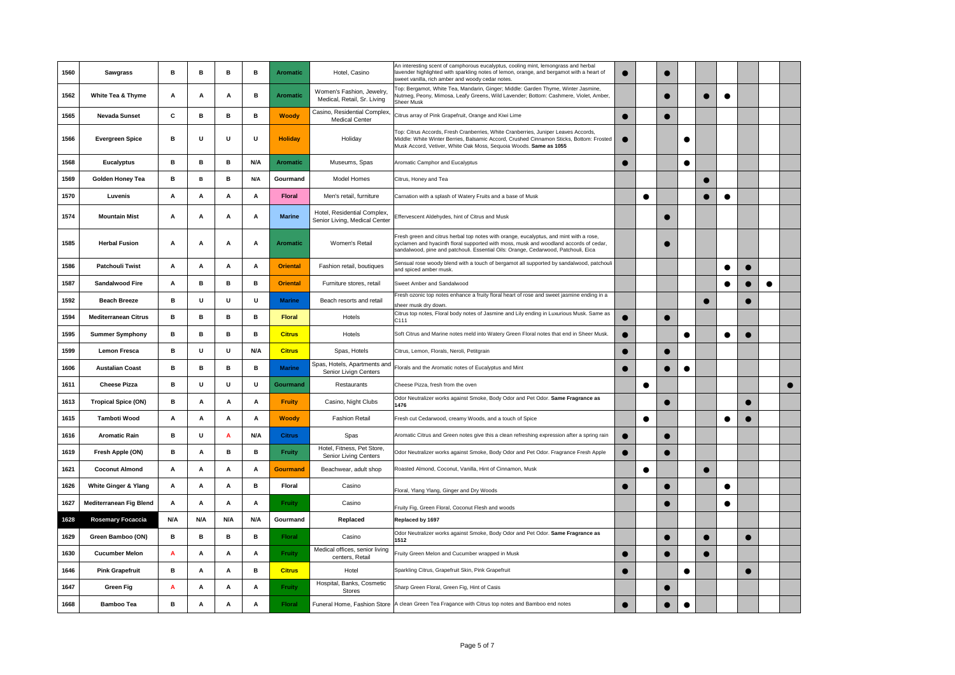| 1560 | Sawgrass                        | в   | в   | в   | в   | <b>Aromatic</b> | Hotel, Casino                                                | An interesting scent of camphorous eucalyptus, cooling mint, lemongrass and herbal<br>lavender highlighted with sparkling notes of lemon, orange, and bergamot with a heart of<br>sweet vanilla, rich amber and woody cedar notes.                                    | $\bullet$ |           |           |           |           |           |           |   |  |
|------|---------------------------------|-----|-----|-----|-----|-----------------|--------------------------------------------------------------|-----------------------------------------------------------------------------------------------------------------------------------------------------------------------------------------------------------------------------------------------------------------------|-----------|-----------|-----------|-----------|-----------|-----------|-----------|---|--|
| 1562 | White Tea & Thyme               | Α   | A   | Α   | в   | <b>Aromatic</b> | Women's Fashion, Jewelry,<br>Medical, Retail, Sr. Living     | Top: Bergamot, White Tea, Mandarin, Ginger; Middle: Garden Thyme, Winter Jasmine,<br>Vutmeg, Peony, Mimosa, Leafy Greens, Wild Lavender; Bottom: Cashmere, Violet, Amber,<br>Sheer Musk                                                                               |           |           |           |           |           | $\bullet$ |           |   |  |
| 1565 | <b>Nevada Sunset</b>            | С   | в   | в   | в   | <b>Woody</b>    | Casino, Residential Complex,<br><b>Medical Center</b>        | Citrus array of Pink Grapefruit, Orange and Kiwi Lime                                                                                                                                                                                                                 | $\bullet$ |           | $\bullet$ |           |           |           |           |   |  |
| 1566 | <b>Evergreen Spice</b>          | в   | U   | U   | U   | <b>Holiday</b>  | Holiday                                                      | Top: Citrus Accords, Fresh Cranberries, White Cranberries, Juniper Leaves Accords,<br>Middle: White Winter Berries, Balsamic Accord, Crushed Cinnamon Sticks, Bottom: Frosted<br>Musk Accord, Vetiver, White Oak Moss, Sequoia Woods. Same as 1055                    | $\bullet$ |           |           |           |           |           |           |   |  |
| 1568 | <b>Eucalyptus</b>               | в   | в   | в   | N/A | <b>Aromatic</b> | Museums, Spas                                                | Aromatic Camphor and Eucalyptus                                                                                                                                                                                                                                       | $\bullet$ |           |           | $\bullet$ |           |           |           |   |  |
| 1569 | <b>Golden Honey Tea</b>         | в   | B   | в   | N/A | Gourmand        | Model Homes                                                  | Citrus, Honey and Tea                                                                                                                                                                                                                                                 |           |           |           |           |           |           |           |   |  |
| 1570 | Luvenis                         | Α   | Α   | А   | Α   | <b>Floral</b>   | Men's retail, furniture                                      | Carnation with a splash of Watery Fruits and a base of Musk                                                                                                                                                                                                           |           | $\bullet$ |           |           |           |           |           |   |  |
| 1574 | <b>Mountain Mist</b>            | A   | A   | A   | А   | <b>Marine</b>   | Hotel, Residential Complex,<br>Senior Living, Medical Center | Effervescent Aldehydes, hint of Citrus and Musk                                                                                                                                                                                                                       |           |           |           |           |           |           |           |   |  |
| 1585 | <b>Herbal Fusion</b>            | Α   | Α   | Α   | Α   | <b>Aromatic</b> | Women's Retail                                               | Fresh green and citrus herbal top notes with orange, eucalyptus, and mint with a rose,<br>cyclamen and hyacinth floral supported with moss, musk and woodland accords of cedar,<br>sandalwood, pine and patchouli. Essential Oils: Orange, Cedarwood, Patchouli, Eica |           |           | $\bullet$ |           |           |           |           |   |  |
| 1586 | <b>Patchouli Twist</b>          | Α   | Α   | Α   | Α   | <b>Oriental</b> | Fashion retail, boutiques                                    | Sensual rose woody blend with a touch of bergamot all supported by sandalwood, patchouli<br>and spiced amber musk.                                                                                                                                                    |           |           |           |           |           | c         |           |   |  |
| 1587 | Sandalwood Fire                 | Α   | в   | в   | в   | <b>Oriental</b> | Furniture stores, retail                                     | Sweet Amber and Sandalwood                                                                                                                                                                                                                                            |           |           |           |           |           | ∙         |           | ▲ |  |
| 1592 | <b>Beach Breeze</b>             | в   | U   | U   | U   | <b>Marine</b>   | Beach resorts and retail                                     | Fresh ozonic top notes enhance a fruity floral heart of rose and sweet jasmine ending in a<br>heer musk dry down.                                                                                                                                                     |           |           |           |           | $\bullet$ |           |           |   |  |
| 1594 | <b>Mediterranean Citrus</b>     | в   | в   | в   | в   | <b>Floral</b>   | Hotels                                                       | Citrus top notes, Floral body notes of Jasmine and Lily ending in Luxurious Musk. Same as<br>C <sub>111</sub>                                                                                                                                                         |           |           | $\bullet$ |           |           |           |           |   |  |
| 1595 | <b>Summer Symphony</b>          | в   | в   | в   | в   | <b>Citrus</b>   | Hotels                                                       | Soft Citrus and Marine notes meld into Watery Green Floral notes that end in Sheer Musk.                                                                                                                                                                              | $\bullet$ |           |           | $\bullet$ |           | $\bullet$ |           |   |  |
| 1599 | <b>Lemon Fresca</b>             | в   | U   | U   | N/A | <b>Citrus</b>   | Spas, Hotels                                                 | Citrus, Lemon, Florals, Neroli, Petitgrain                                                                                                                                                                                                                            |           |           |           |           |           |           |           |   |  |
| 1606 | <b>Austalian Coast</b>          | в   | в   | в   | в   | <b>Marine</b>   | Spas, Hotels, Apartments and<br>Senior Livign Centers        | Florals and the Aromatic notes of Eucalyptus and Mint                                                                                                                                                                                                                 | $\bullet$ |           | ●         | $\bullet$ |           |           |           |   |  |
| 1611 | <b>Cheese Pizza</b>             | в   | U   | U   | U   | Gourmand        | Restaurants                                                  | Cheese Pizza, fresh from the oven                                                                                                                                                                                                                                     |           | $\bullet$ |           |           |           |           |           |   |  |
| 1613 | <b>Tropical Spice (ON)</b>      | в   | Α   | Α   | Α   | <b>Fruity</b>   | Casino, Night Clubs                                          | Odor Neutralizer works against Smoke, Body Odor and Pet Odor. Same Fragrance as<br>1476                                                                                                                                                                               |           |           |           |           |           |           |           |   |  |
| 1615 | Tamboti Wood                    | А   | А   | Α   | Α   | <b>Woody</b>    | <b>Fashion Retail</b>                                        | Fresh cut Cedarwood, creamy Woods, and a touch of Spice                                                                                                                                                                                                               |           | $\bullet$ |           |           |           |           |           |   |  |
| 1616 | <b>Aromatic Rain</b>            | в   | U   | A   | N/A | <b>Citrus</b>   | Spas                                                         | Aromatic Citrus and Green notes give this a clean refreshing expression after a spring rain                                                                                                                                                                           | $\bullet$ |           |           |           |           |           |           |   |  |
| 1619 | Fresh Apple (ON)                | в   | Α   | B   | в   | <b>Fruity</b>   | Hotel, Fitness, Pet Store,<br>Senior Living Centers          | Odor Neutralizer works against Smoke, Body Odor and Pet Odor. Fragrance Fresh Apple                                                                                                                                                                                   | $\bullet$ |           | e         |           |           |           |           |   |  |
| 1621 | <b>Coconut Almond</b>           | Α   | Α   | Α   | А   | <b>Gourmand</b> | Beachwear, adult shop                                        | Roasted Almond, Coconut, Vanilla, Hint of Cinnamon, Musk                                                                                                                                                                                                              |           | $\bullet$ |           |           | $\bullet$ |           |           |   |  |
| 1626 | <b>White Ginger &amp; Ylang</b> | Α   | Α   | А   | в   | Floral          | Casino                                                       | Floral, Ylang Ylang, Ginger and Dry Woods                                                                                                                                                                                                                             | $\bullet$ |           |           |           |           | C         |           |   |  |
| 1627 | <b>Mediterranean Fig Blend</b>  | Α   | Α   | Α   | Α   | <b>Fruity</b>   | Casino                                                       | Fruity Fig, Green Floral, Coconut Flesh and woods                                                                                                                                                                                                                     |           |           |           |           |           | e         |           |   |  |
| 1628 | Rosemary Focaccia               | N/A | N/A | N/A | N/A | Gourmand        | Replaced                                                     | Replaced by 1697                                                                                                                                                                                                                                                      |           |           |           |           |           |           |           |   |  |
| 1629 | Green Bamboo (ON)               | в   | в   | в   | в   | Floral          | Casino                                                       | Odor Neutralizer works against Smoke, Body Odor and Pet Odor. Same Fragrance as<br>1512                                                                                                                                                                               |           |           |           |           |           |           | $\bullet$ |   |  |
| 1630 | <b>Cucumber Melon</b>           | A   | A   | А   | Α   | <b>Fruity</b>   | Medical offices, senior living<br>centers, Retail            | Fruity Green Melon and Cucumber wrapped in Musk                                                                                                                                                                                                                       |           |           |           |           |           |           |           |   |  |
| 1646 | <b>Pink Grapefruit</b>          | в   | Α   | Α   | в   | <b>Citrus</b>   | Hotel                                                        | Sparkling Citrus, Grapefruit Skin, Pink Grapefruit                                                                                                                                                                                                                    |           |           |           | $\bullet$ |           |           | $\bullet$ |   |  |
| 1647 | <b>Green Fig</b>                | A   | А   | А   | Α   | <b>Fruity</b>   | Hospital, Banks, Cosmetic<br>Stores                          | Sharp Green Floral, Green Fig, Hint of Casis                                                                                                                                                                                                                          |           |           |           |           |           |           |           |   |  |
| 1668 | <b>Bamboo Tea</b>               | в   | A   | A   | A   | <b>Floral</b>   |                                                              | Funeral Home, Fashion Store A clean Green Tea Fragance with Citrus top notes and Bamboo end notes                                                                                                                                                                     |           |           |           | $\bullet$ |           |           |           |   |  |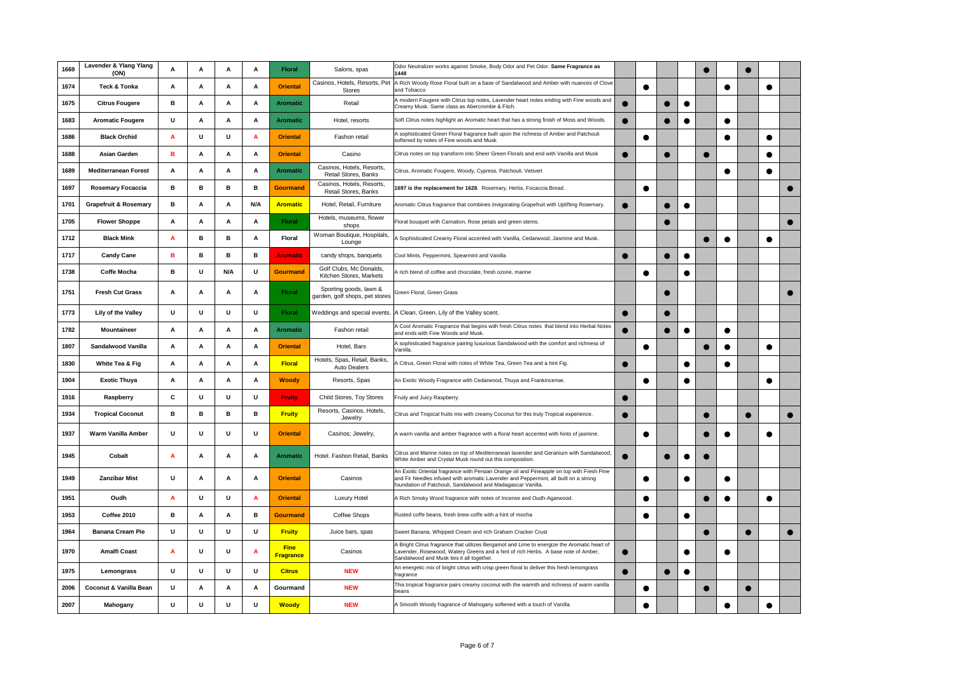| 1669 | Lavender & Ylang Ylang           | Α | A            | A   | Α   | Floral                          | Salons, spas                                             | Odor Neutralizer works against Smoke, Body Odor and Pet Odor. Same Fragrance as<br>1448                                                                                                                                                          |           |           |   |           |           |           |           |  |
|------|----------------------------------|---|--------------|-----|-----|---------------------------------|----------------------------------------------------------|--------------------------------------------------------------------------------------------------------------------------------------------------------------------------------------------------------------------------------------------------|-----------|-----------|---|-----------|-----------|-----------|-----------|--|
| 1674 | (ON)<br>Teck & Tonka             | Α | Α            | А   | Α   | <b>Oriental</b>                 | Casinos, Hotels, Resorts, Pet                            | A Rich Woody Rose Floral built on a base of Sandalwood and Amber with nuances of Clove                                                                                                                                                           |           | $\bullet$ |   |           |           | $\bullet$ | ●         |  |
| 1675 | <b>Citrus Fougere</b>            | в | Α            | Α   | А   | <b>Aromatic</b>                 | <b>Stores</b><br>Retail                                  | and Tobacco<br>A modern Fougere with Citrus top notes, Lavender heart notes ending with Fine woods and                                                                                                                                           | $\bullet$ |           |   |           |           |           |           |  |
|      |                                  |   |              |     |     |                                 |                                                          | Creamy Musk. Same class as Abercrombe & Fitch.                                                                                                                                                                                                   |           |           |   |           |           |           |           |  |
| 1683 | <b>Aromatic Fougere</b>          | U | A            | А   | Α   | <b>Aromatic</b>                 | Hotel, resorts                                           | Soft Citrus notes highlight an Aromatic heart that has a strong finish of Moss and Woods.                                                                                                                                                        |           |           |   |           |           |           |           |  |
| 1686 | <b>Black Orchid</b>              | A | U            | U   | Α   | <b>Oriental</b>                 | Fashon retail                                            | A sophisticated Green Floral fragrance built upon the richness of Amber and Patchouli<br>softened by notes of Fine woods and Musk                                                                                                                |           | $\bullet$ |   |           |           | e         |           |  |
| 1688 | <b>Asian Garden</b>              | в | Α            | А   | Α   | <b>Oriental</b>                 | Casino                                                   | Citrus notes on top transform into Sheer Green Florals and end with Vanilla and Musk                                                                                                                                                             | $\bullet$ |           |   |           | $\bullet$ |           |           |  |
| 1689 | <b>Mediterranean Forest</b>      | Α | A            | А   | Α   | Aromatic                        | Casinos, Hotels, Resorts,<br>Retail Stores, Banks        | Citrus, Aromatic Fougere, Woody, Cypress, Patchouli, Vetivert                                                                                                                                                                                    |           |           |   |           |           | e         |           |  |
| 1697 | <b>Rosemary Focaccia</b>         | в | в            | B   | B   | <b>Gourmand</b>                 | Casinos, Hotels, Resorts<br>Retail Stores, Banks         | 1697 is the replacement for 1628. Rosemary, Herbs, Focaccia Bread.                                                                                                                                                                               |           | $\bullet$ |   |           |           |           |           |  |
| 1701 | <b>Grapefruit &amp; Rosemary</b> | в | Α            | A   | N/A | <b>Aromatic</b>                 | Hotel, Retail, Furniture                                 | Aromatic Citrus fragrance that combines Invigorating Grapefruit with Uplifting Rosemary.                                                                                                                                                         |           |           |   | $\bullet$ |           |           |           |  |
| 1705 | <b>Flower Shoppe</b>             | Α | Α            | А   | Α   | <b>Floral</b>                   | Hotels, museums, flower<br>shops                         | Floral bouquet with Carnation, Rose petals and green stems.                                                                                                                                                                                      |           |           |   |           |           |           |           |  |
| 1712 | <b>Black Mink</b>                | A | в            | в   | A   | <b>Floral</b>                   | Woman Boutique, Hospitals,<br>Lounge                     | A Sophisticated Creamy Floral accented with Vanilla, Cedarwood, Jasmine and Musk.                                                                                                                                                                |           |           |   |           |           | ●         |           |  |
| 1717 | <b>Candy Cane</b>                | в | в            | в   | в   | <b>Aromatic</b>                 | candy shops, banquets                                    | Cool Mints, Peppermint, Spearmint and Vanilla                                                                                                                                                                                                    | $\bullet$ |           |   |           |           |           |           |  |
| 1738 | <b>Coffe Mocha</b>               | в | U            | N/A | U   | <b>Gourmand</b>                 | Golf Clubs, Mc Donalds,<br>Kitchen Stores, Markets       | A rich blend of coffee and chocolate, fresh ozone, marine                                                                                                                                                                                        |           | $\bullet$ |   | $\bullet$ |           |           |           |  |
| 1751 | <b>Fresh Cut Grass</b>           | Α | A            | А   | Α   | <b>Floral</b>                   | Sporting goods, lawn &<br>garden, golf shops, pet stores | Green Floral, Green Grass                                                                                                                                                                                                                        |           |           |   |           |           |           |           |  |
| 1773 | Lily of the Valley               | U | U            | U   | U   | <b>Floral</b>                   | Weddings and special events.                             | A Clean, Green, Lily of the Valley scent.                                                                                                                                                                                                        |           |           |   |           |           |           |           |  |
| 1782 | Mountaineer                      | Α | A            | A   | Α   | <b>Aromatic</b>                 | Fashon retail                                            | A Cool Aromatic Fragrance that begins with fresh Citrus notes that blend into Herbal Notes<br>and ends with Fine Woods and Musk.                                                                                                                 |           |           |   | $\bullet$ |           |           |           |  |
| 1807 | Sandalwood Vanilla               | Α | Α            | А   | Α   | <b>Oriental</b>                 | Hotel, Bars                                              | A sophisticated fragrance pairing luxurious Sandalwood with the comfort and richness of<br>Vanilla                                                                                                                                               |           | $\bullet$ |   |           | $\bullet$ | ●         | ●         |  |
| 1830 | White Tea & Fig                  | Α | Α            | А   | Α   | <b>Floral</b>                   | Hotels, Spas, Retail, Banks,<br>Auto Dealers             | A Citrus, Green Floral with notes of White Tea, Green Tea and a hint Fig.                                                                                                                                                                        | e         |           |   | $\bullet$ |           | $\bullet$ |           |  |
| 1904 | <b>Exotic Thuya</b>              | A | A            | A   | A   | Woody                           | Resorts, Spas                                            | An Exotic Woody Fragrance with Cedarwood, Thuya and Frankincense.                                                                                                                                                                                |           | $\bullet$ |   | $\bullet$ |           |           | ▲         |  |
| 1916 | Raspberry                        | С | U            | U   | U   | Fruity                          | Child Stores, Toy Stores                                 | Fruity and Juicy Raspberry.                                                                                                                                                                                                                      | $\bullet$ |           |   |           |           |           |           |  |
| 1934 | <b>Tropical Coconut</b>          | в | в            | B   | в   | <b>Fruity</b>                   | Resorts, Casinos, Hotels,<br>Jewelry                     | Citrus and Tropical fruits mix with creamy Coconut for this truly Tropical experience.                                                                                                                                                           | ●         |           |   |           |           |           |           |  |
| 1937 | Warm Vanilla Amber               | U | $\mathbf{u}$ | U   | U   | <b>Oriental</b>                 | Casinos; Jewelry,                                        | A warm vanilla and amber fragrance with a floral heart accented with hints of jasmine.                                                                                                                                                           |           | $\bullet$ |   |           |           |           |           |  |
| 1945 | Cobalt                           | A | A            | A   | Α   | <b>Aromatic</b>                 | Hotel. Fashon Retail, Banks                              | Citrus and Marine notes on top of Mediterranean lavender and Geranium with Sandalwood<br>White Amber and Crystal Musk round out this composition.                                                                                                |           |           |   |           |           |           |           |  |
| 1949 | <b>Zanzibar Mist</b>             | U | A            | А   | A   | <b>Oriental</b>                 | Casinos                                                  | An Exotic Oriental fragrance with Persian Orange oil and Pineapple on top with Fresh Pine<br>and Fir Needles infused with aromatic Lavender and Peppermint, all built on a strong<br>foundation of Patchouli, Sandalwood and Madagascar Vanilla. |           | $\bullet$ |   |           |           |           |           |  |
| 1951 | Oudh                             | A | U            | U   | A   | <b>Oriental</b>                 | Luxury Hotel                                             | A Rich Smoky Wood fragrance with notes of Incense and Oudh-Agarwood.                                                                                                                                                                             |           | $\bullet$ |   |           | $\bullet$ | $\bullet$ | $\bullet$ |  |
| 1953 | Coffee 2010                      | в | Α            | Α   | в   | <b>Gourmand</b>                 | Coffee Shops                                             | Rusted coffe beans, fresh brew coffe with a hint of mocha                                                                                                                                                                                        |           | $\bullet$ |   | $\bullet$ |           |           |           |  |
| 1964 | <b>Banana Cream Pie</b>          | U | U            | U   | U   | <b>Fruity</b>                   | Juice bars, spas                                         | Sweet Banana, Whipped Cream and rich Graham Cracker Crust                                                                                                                                                                                        |           |           |   |           | $\bullet$ |           |           |  |
| 1970 | Amalfi Coast                     | A | U            | U   | Α   | <b>Fine</b><br><b>Fragrance</b> | Casinos                                                  | A Bright Citrus fragrance that utilizes Bergamot and Lime to energize the Aromatic heart of<br>Lavender, Rosewood, Watery Greens and a hint of rich Herbs. A base note of Amber,<br>Sandalwood and Musk ties it all together.                    | $\bullet$ |           |   |           |           | e         |           |  |
| 1975 | Lemongrass                       | U | U            | U   | U   | <b>Citrus</b>                   | <b>NEW</b>                                               | An energetic mix of bright citrus with crisp green floral to deliver this fresh lemongrass<br>ragrance                                                                                                                                           |           |           | e | $\bullet$ |           |           |           |  |
| 2006 | Coconut & Vanilla Bean           | U | Α            | Α   | Α   | Gourmand                        | <b>NEW</b>                                               | This tropical fragrance pairs creamy coconut with the warmth and richness of warm vanilla<br>beans                                                                                                                                               |           | $\bullet$ |   |           | ●         |           |           |  |
| 2007 | Mahogany                         | U | U            | U   | U   | <b>Woody</b>                    | <b>NEW</b>                                               | A Smooth Woody fragrance of Mahogany softened with a touch of Vanilla.                                                                                                                                                                           |           | $\bullet$ |   |           |           |           |           |  |